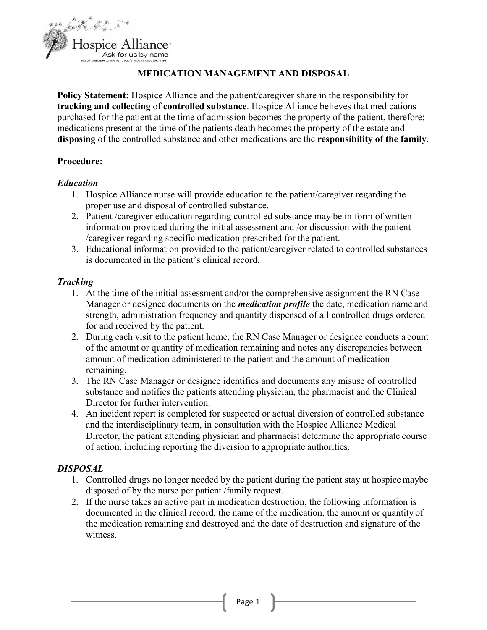

# **MEDICATION MANAGEMENT AND DISPOSAL**

**Policy Statement:** Hospice Alliance and the patient/caregiver share in the responsibility for **tracking and collecting** of **controlled substance**. Hospice Alliance believes that medications purchased for the patient at the time of admission becomes the property of the patient, therefore; medications present at the time of the patients death becomes the property of the estate and **disposing** of the controlled substance and other medications are the **responsibility of the family**.

### **Procedure:**

### *Education*

- 1. Hospice Alliance nurse will provide education to the patient/caregiver regarding the proper use and disposal of controlled substance.
- 2. Patient /caregiver education regarding controlled substance may be in form of written information provided during the initial assessment and /or discussion with the patient /caregiver regarding specific medication prescribed for the patient.
- 3. Educational information provided to the patient/caregiver related to controlled substances is documented in the patient's clinical record.

### *Tracking*

- 1. At the time of the initial assessment and/or the comprehensive assignment the RN Case Manager or designee documents on the *medication profile* the date, medication name and strength, administration frequency and quantity dispensed of all controlled drugs ordered for and received by the patient.
- 2. During each visit to the patient home, the RN Case Manager or designee conducts a count of the amount or quantity of medication remaining and notes any discrepancies between amount of medication administered to the patient and the amount of medication remaining.
- 3. The RN Case Manager or designee identifies and documents any misuse of controlled substance and notifies the patients attending physician, the pharmacist and the Clinical Director for further intervention.
- 4. An incident report is completed for suspected or actual diversion of controlled substance and the interdisciplinary team, in consultation with the Hospice Alliance Medical Director, the patient attending physician and pharmacist determine the appropriate course of action, including reporting the diversion to appropriate authorities.

# *DISPOSAL*

- 1. Controlled drugs no longer needed by the patient during the patient stay at hospice maybe disposed of by the nurse per patient /family request.
- 2. If the nurse takes an active part in medication destruction, the following information is documented in the clinical record, the name of the medication, the amount or quantity of the medication remaining and destroyed and the date of destruction and signature of the witness.